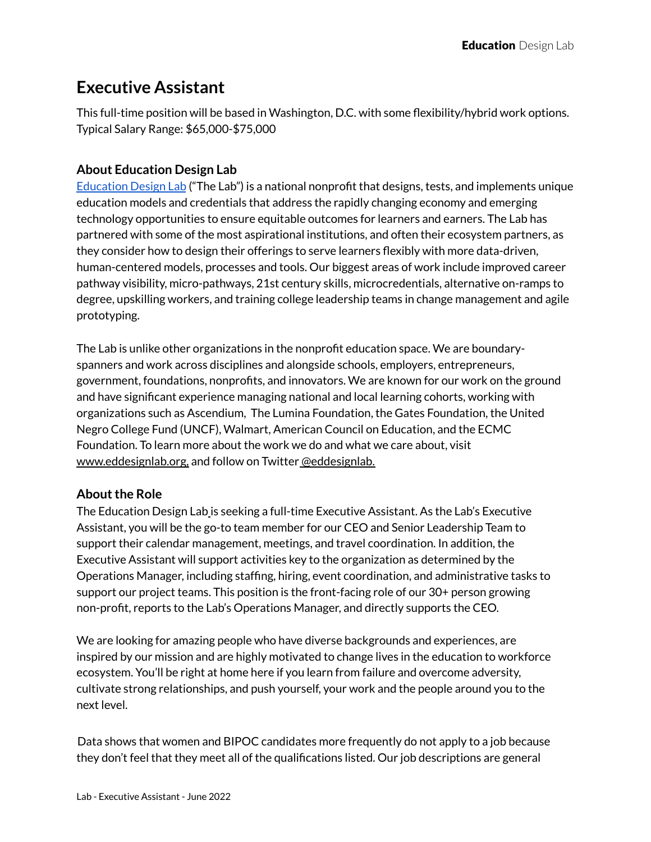# **Executive Assistant**

This full-time position will be based in Washington, D.C. with some flexibility/hybrid work options. Typical Salary Range: \$65,000-\$75,000

## **About Education Design Lab**

[Education](http://eddesignlab.org) Design Lab ("The Lab") is a national nonprofit that designs, tests, and implements unique education models and credentials that address the rapidly changing economy and emerging technology opportunities to ensure equitable outcomes for learners and earners. The Lab has partnered with some of the most aspirational institutions, and often their ecosystem partners, as they consider how to design their offerings to serve learners flexibly with more data-driven, human-centered models, processes and tools. Our biggest areas of work include improved career pathway visibility, micro-pathways, 21st century skills, microcredentials, alternative on-ramps to degree, upskilling workers, and training college leadership teams in change management and agile prototyping.

The Lab is unlike other organizations in the nonprofit education space. We are boundaryspanners and work across disciplines and alongside schools, employers, entrepreneurs, government, foundations, nonprofits, and innovators. We are known for our work on the ground and have significant experience managing national and local learning cohorts, working with organizations such as Ascendium, The Lumina Foundation, the Gates Foundation, the United Negro College Fund (UNCF), Walmart, American Council on Education, and the ECMC Foundation. To learn more about the work we do and what we care about, visit www.eddesignlab.org, and follow on Twitter @eddesignlab.

## **About the Role**

The Education Design Lab is seeking a full-time Executive Assistant. As the Lab's Executive Assistant, you will be the go-to team member for our CEO and Senior Leadership Team to support their calendar management, meetings, and travel coordination. In addition, the Executive Assistant will support activities key to the organization as determined by the Operations Manager, including staffing, hiring, event coordination, and administrative tasks to support our project teams. This position is the front-facing role of our 30+ person growing non-profit, reports to the Lab's Operations Manager, and directly supports the CEO.

We are looking for amazing people who have diverse backgrounds and experiences, are inspired by our mission and are highly motivated to change lives in the education to workforce ecosystem. You'll be right at home here if you learn from failure and overcome adversity, cultivate strong relationships, and push yourself, your work and the people around you to the next level.

Data shows that women and BIPOC candidates more frequently do not apply to a job because they don't feel that they meet all of the qualifications listed. Our job descriptions are general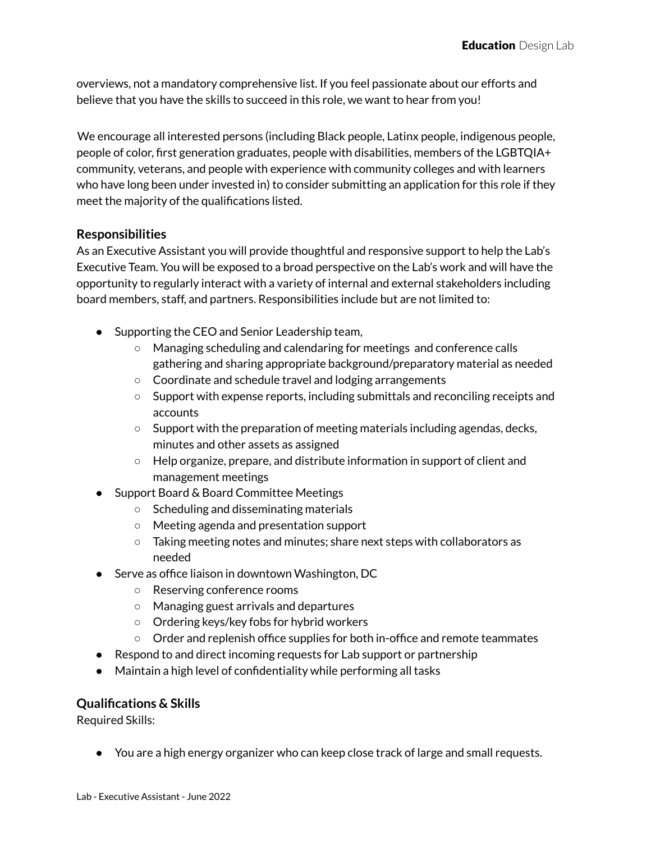overviews, not a mandatory comprehensive list. If you feel passionate about our efforts and believe that you have the skills to succeed in this role, we want to hear from you!

We encourage all interested persons (including Black people, Latinx people, indigenous people, people of color, first generation graduates, people with disabilities, members of the LGBTQIA+ community, veterans, and people with experience with community colleges and with learners who have long been under invested in) to consider submitting an application for this role if they meet the majority of the qualifications listed.

### **Responsibilities**

As an Executive Assistant you will provide thoughtful and responsive support to help the Lab's Executive Team. You will be exposed to a broad perspective on the Lab's work and will have the opportunity to regularly interact with a variety of internal and external stakeholders including board members, staff, and partners. Responsibilities include but are not limited to:

- Supporting the CEO and Senior Leadership team,
	- Managing scheduling and calendaring for meetings and conference calls gathering and sharing appropriate background/preparatory material as needed
	- Coordinate and schedule travel and lodging arrangements
	- Support with expense reports, including submittals and reconciling receipts and accounts
	- $\circ$  Support with the preparation of meeting materials including agendas, decks, minutes and other assets as assigned
	- Help organize, prepare, and distribute information in support of client and management meetings
- Support Board & Board Committee Meetings
	- Scheduling and disseminating materials
	- Meeting agenda and presentation support
	- Taking meeting notes and minutes; share next steps with collaborators as needed
- Serve as office liaison in downtown Washington, DC
	- Reserving conference rooms
	- Managing guest arrivals and departures
	- Ordering keys/key fobs for hybrid workers
	- Order and replenish office supplies for both in-office and remote teammates
- Respond to and direct incoming requests for Lab support or partnership
- Maintain a high level of confidentiality while performing all tasks

#### **Qualifications & Skills**

Required Skills:

● You are a high energy organizer who can keep close track of large and small requests.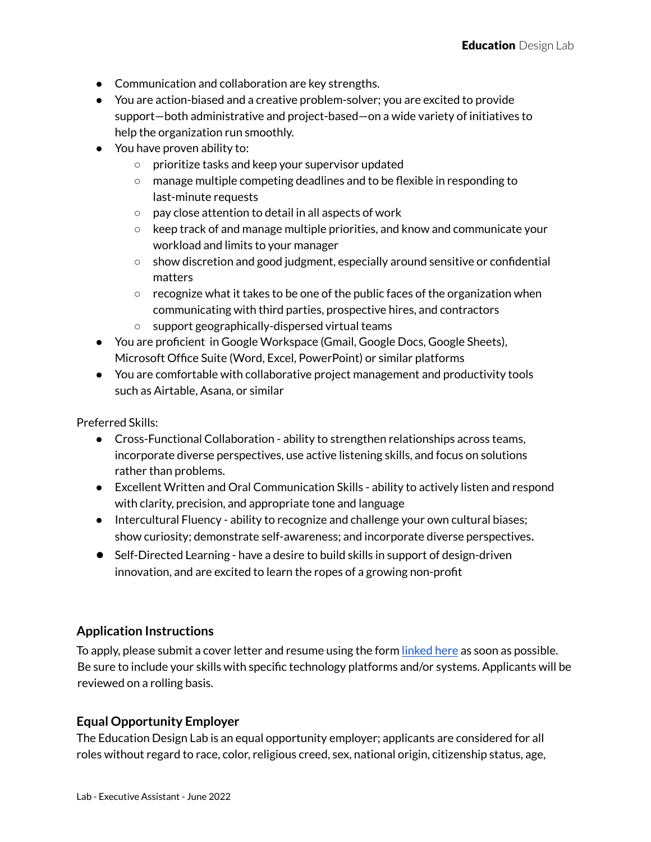- Communication and collaboration are key strengths.
- You are action-biased and a creative problem-solver; you are excited to provide support—both administrative and project-based—on a wide variety of initiatives to help the organization run smoothly.
- You have proven ability to:
	- prioritize tasks and keep your supervisor updated
	- manage multiple competing deadlines and to be flexible in responding to last-minute requests
	- pay close attention to detail in all aspects of work
	- $\circ$  keep track of and manage multiple priorities, and know and communicate your workload and limits to your manager
	- show discretion and good judgment, especially around sensitive or confidential matters
	- $\circ$  recognize what it takes to be one of the public faces of the organization when communicating with third parties, prospective hires, and contractors
	- support geographically-dispersed virtual teams
- You are proficient in Google Workspace (Gmail, Google Docs, Google Sheets), Microsoft Office Suite (Word, Excel, PowerPoint) or similar platforms
- You are comfortable with collaborative project management and productivity tools such as Airtable, Asana, or similar

Preferred Skills:

- Cross-Functional Collaboration ability to strengthen relationships across teams, incorporate diverse perspectives, use active listening skills, and focus on solutions rather than problems.
- Excellent Written and Oral Communication Skills ability to actively listen and respond with clarity, precision, and appropriate tone and language
- Intercultural Fluency ability to recognize and challenge your own cultural biases; show curiosity; demonstrate self-awareness; and incorporate diverse perspectives.
- Self-Directed Learning have a desire to build skills in support of design-driven innovation, and are excited to learn the ropes of a growing non-profit

### **Application Instructions**

To apply, please submit a cover letter and resume using the form [linked](https://airtable.com/shrKxJ7khXBDLmQlB) here as soon as possible. Be sure to include your skills with specific technology platforms and/or systems. Applicants will be reviewed on a rolling basis.

## **Equal Opportunity Employer**

The Education Design Lab is an equal opportunity employer; applicants are considered for all roles without regard to race, color, religious creed, sex, national origin, citizenship status, age,